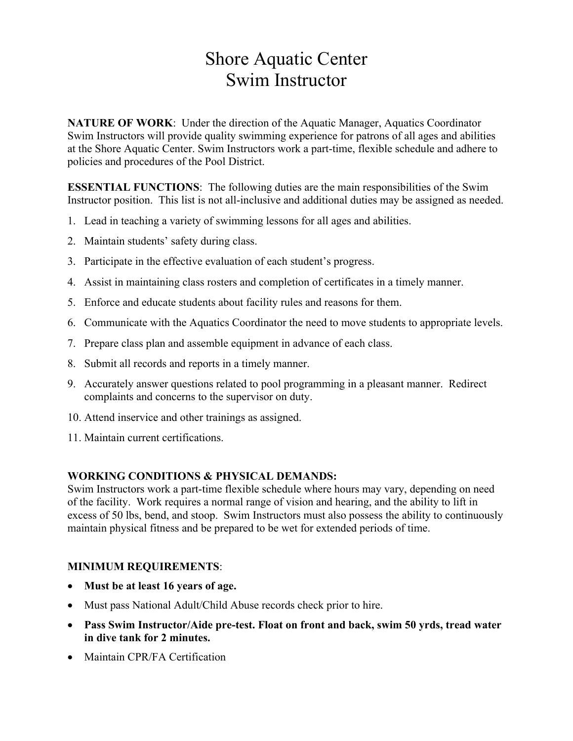# Shore Aquatic Center Swim Instructor

**NATURE OF WORK**: Under the direction of the Aquatic Manager, Aquatics Coordinator Swim Instructors will provide quality swimming experience for patrons of all ages and abilities at the Shore Aquatic Center. Swim Instructors work a part-time, flexible schedule and adhere to policies and procedures of the Pool District.

**ESSENTIAL FUNCTIONS**: The following duties are the main responsibilities of the Swim Instructor position. This list is not all-inclusive and additional duties may be assigned as needed.

- 1. Lead in teaching a variety of swimming lessons for all ages and abilities.
- 2. Maintain students' safety during class.
- 3. Participate in the effective evaluation of each student's progress.
- 4. Assist in maintaining class rosters and completion of certificates in a timely manner.
- 5. Enforce and educate students about facility rules and reasons for them.
- 6. Communicate with the Aquatics Coordinator the need to move students to appropriate levels.
- 7. Prepare class plan and assemble equipment in advance of each class.
- 8. Submit all records and reports in a timely manner.
- 9. Accurately answer questions related to pool programming in a pleasant manner. Redirect complaints and concerns to the supervisor on duty.
- 10. Attend inservice and other trainings as assigned.
- 11. Maintain current certifications.

### **WORKING CONDITIONS & PHYSICAL DEMANDS:**

Swim Instructors work a part-time flexible schedule where hours may vary, depending on need of the facility. Work requires a normal range of vision and hearing, and the ability to lift in excess of 50 lbs, bend, and stoop. Swim Instructors must also possess the ability to continuously maintain physical fitness and be prepared to be wet for extended periods of time.

### **MINIMUM REQUIREMENTS**:

- **Must be at least 16 years of age.**
- Must pass National Adult/Child Abuse records check prior to hire.
- **Pass Swim Instructor/Aide pre-test. Float on front and back, swim 50 yrds, tread water in dive tank for 2 minutes.**
- Maintain CPR/FA Certification